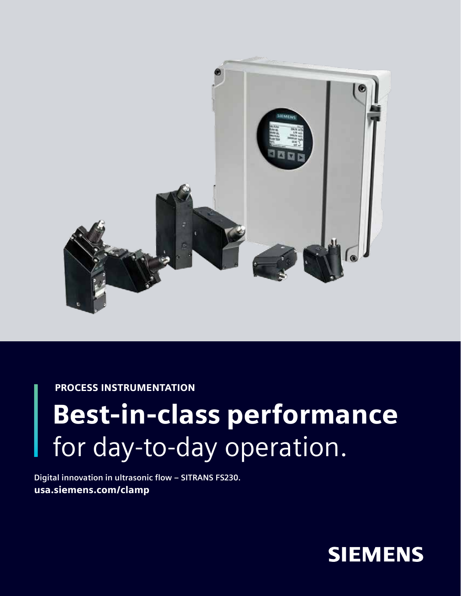

PROCESS INSTRUMENTATION

## Best-in-class performance for day-to-day operation.

**Digital innovation in ultrasonic flow – SITRANS FS230.** usa.siemens.com/clamp

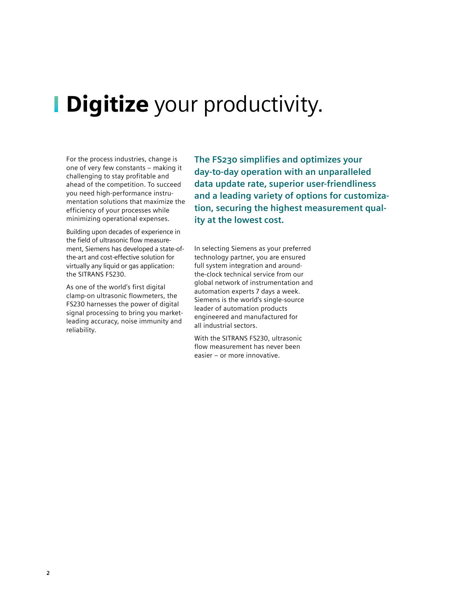### **Digitize** your productivity.

For the process industries, change is one of very few constants – making it challenging to stay profitable and ahead of the competition. To succeed you need high-performance instrumentation solutions that maximize the efficiency of your processes while minimizing operational expenses.

Building upon decades of experience in the field of ultrasonic flow measurement, Siemens has developed a state-ofthe-art and cost-effective solution for virtually any liquid or gas application: the SITRANS FS230.

As one of the world's first digital clamp-on ultrasonic flowmeters, the FS230 harnesses the power of digital signal processing to bring you marketleading accuracy, noise immunity and reliability.

**The FS230 simplifies and optimizes your day-to-day operation with an unparalleled data update rate, superior user-friendliness and a leading variety of options for customization, securing the highest measurement quality at the lowest cost.**

In selecting Siemens as your preferred technology partner, you are ensured full system integration and aroundthe-clock technical service from our global network of instrumentation and automation experts 7 days a week. Siemens is the world's single-source leader of automation products engineered and manufactured for all industrial sectors.

With the SITRANS FS230, ultrasonic flow measurement has never been easier – or more innovative.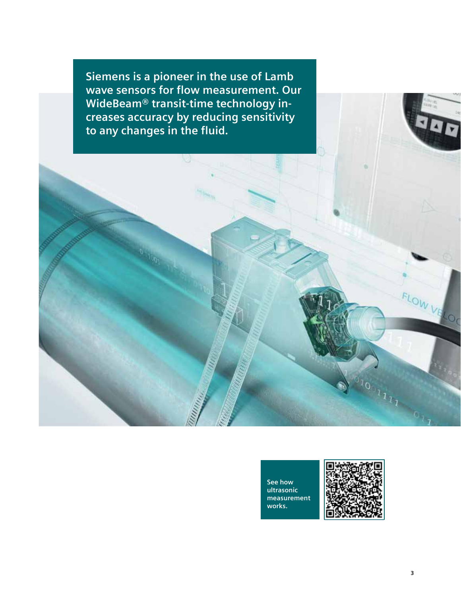**Siemens is a pioneer in the use of Lamb wave sensors for flow measurement. Our WideBeam® transit-time technology increases accuracy by reducing sensitivity to any changes in the fluid.**

U

**See how ultrasonic measurement works.**



40

FLOW VELOC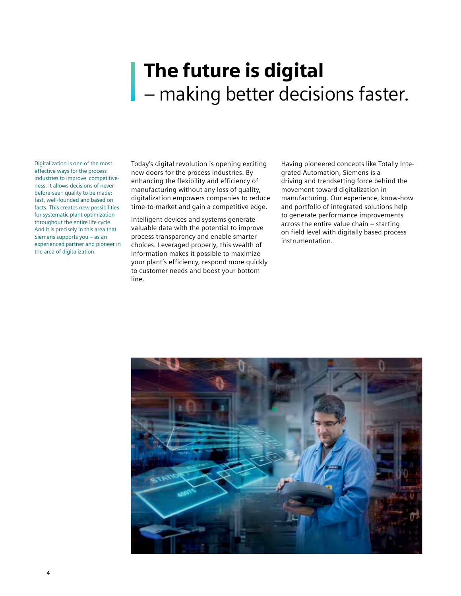### The future is digital – making better decisions faster.

Digitalization is one of the most effective ways for the process industries to improve competitiveness. It allows decisions of neverbefore-seen quality to be made: fast, well-founded and based on facts. This creates new possibilities for systematic plant optimization throughout the entire life cycle. And it is precisely in this area that Siemens supports you – as an experienced partner and pioneer in the area of digitalization.

Today's digital revolution is opening exciting new doors for the process industries. By enhancing the flexibility and efficiency of manufacturing without any loss of quality, digitalization empowers companies to reduce time-to-market and gain a competitive edge.

Intelligent devices and systems generate valuable data with the potential to improve process transparency and enable smarter choices. Leveraged properly, this wealth of information makes it possible to maximize your plant's efficiency, respond more quickly to customer needs and boost your bottom line.

Having pioneered concepts like Totally Integrated Automation, Siemens is a driving and trendsetting force behind the movement toward digitalization in manufacturing. Our experience, know-how and portfolio of integrated solutions help to generate performance improvements across the entire value chain – starting on field level with digitally based process instrumentation.

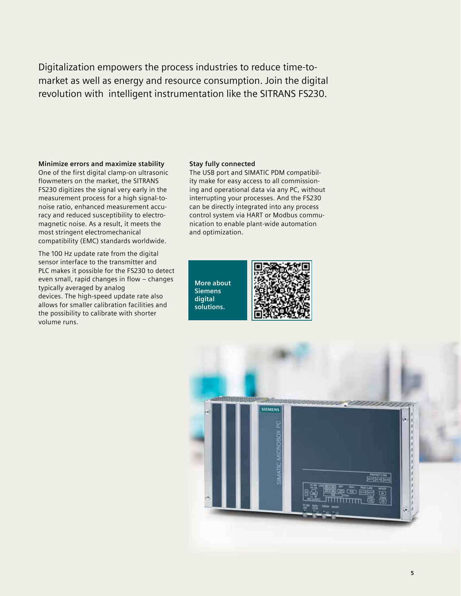Digitalization empowers the process industries to reduce time-tomarket as well as energy and resource consumption. Join the digital revolution with intelligent instrumentation like the SITRANS FS230.

### **Minimize errors and maximize stability**

One of the first digital clamp-on ultrasonic flowmeters on the market, the SITRANS FS230 digitizes the signal very early in the measurement process for a high signal-tonoise ratio, enhanced measurement accuracy and reduced susceptibility to electromagnetic noise. As a result, it meets the most stringent electromechanical compatibility (EMC) standards worldwide.

The 100 Hz update rate from the digital sensor interface to the transmitter and PLC makes it possible for the FS230 to detect even small, rapid changes in flow – changes typically averaged by analog devices. The high-speed update rate also allows for smaller calibration facilities and the possibility to calibrate with shorter volume runs.

### **Stay fully connected**

The USB port and SIMATIC PDM compatibility make for easy access to all commissioning and operational data via any PC, without interrupting your processes. And the FS230 can be directly integrated into any process control system via HART or Modbus communication to enable plant-wide automation and optimization.

**More about Siemens digital solutions.**



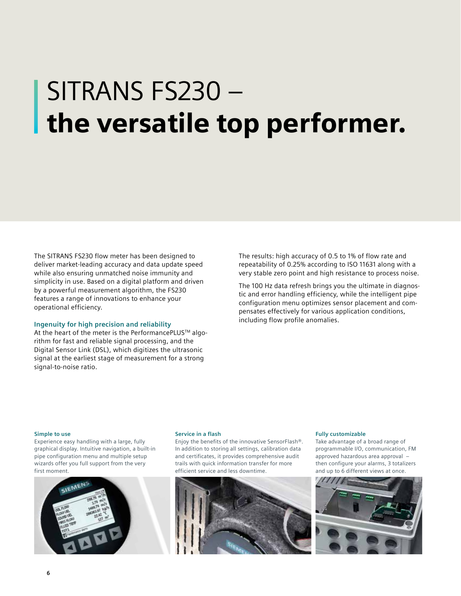# SITRANS FS230 – the versatile top performer.

The SITRANS FS230 flow meter has been designed to deliver market-leading accuracy and data update speed while also ensuring unmatched noise immunity and simplicity in use. Based on a digital platform and driven by a powerful measurement algorithm, the FS230 features a range of innovations to enhance your operational efficiency.

### **Ingenuity for high precision and reliability**

At the heart of the meter is the PerformancePLUS<sup>™</sup> algorithm for fast and reliable signal processing, and the Digital Sensor Link (DSL), which digitizes the ultrasonic signal at the earliest stage of measurement for a strong signal-to-noise ratio.

The results: high accuracy of 0.5 to 1% of flow rate and repeatability of 0.25% according to ISO 11631 along with a very stable zero point and high resistance to process noise.

The 100 Hz data refresh brings you the ultimate in diagnostic and error handling efficiency, while the intelligent pipe configuration menu optimizes sensor placement and compensates effectively for various application conditions, including flow profile anomalies.

#### **Simple to use**

Experience easy handling with a large, fully graphical display. Intuitive navigation, a built-in pipe configuration menu and multiple setup wizards offer you full support from the very first moment.



### **Service in a flash**

Enjoy the benefits of the innovative SensorFlash®. In addition to storing all settings, calibration data and certificates, it provides comprehensive audit trails with quick information transfer for more efficient service and less downtime.



#### **Fully customizable**

Take advantage of a broad range of programmable I/O, communication, FM approved hazardous area approval – then configure your alarms, 3 totalizers and up to 6 different views at once.

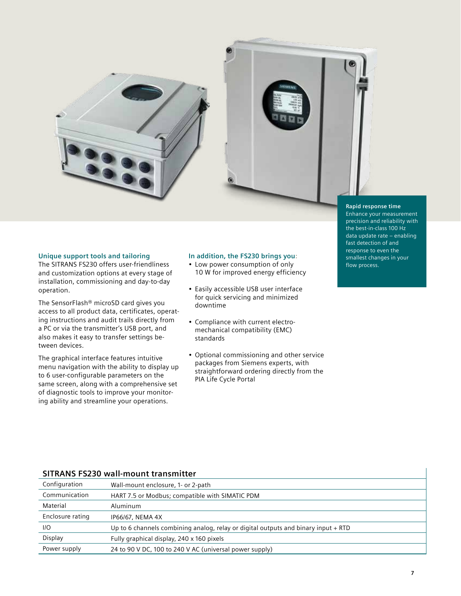



#### **Rapid response time**

**Unique support tools and tailoring** 

The SITRANS FS230 offers user-friendliness and customization options at every stage of installation, commissioning and day-to-day operation.

The SensorFlash® microSD card gives you access to all product data, certificates, operating instructions and audit trails directly from a PC or via the transmitter's USB port, and also makes it easy to transfer settings between devices.

The graphical interface features intuitive menu navigation with the ability to display up to 6 user-configurable parameters on the same screen, along with a comprehensive set of diagnostic tools to improve your monitoring ability and streamline your operations.

### **In addition, the FS230 brings you:**

- Low power consumption of only 10 W for improved energy efficiency
- Easily accessible USB user interface for quick servicing and minimized downtime
- Compliance with current electromechanical compatibility (EMC) standards
- Optional commissioning and other service packages from Siemens experts, with straightforward ordering directly from the PIA Life Cycle Portal

Enhance your measurement precision and reliability with the best-in-class 100 Hz data update rate – enabling fast detection of and response to even the smallest changes in your flow process.

### **SITRANS FS230 wall-mount transmitter**

| Configuration    | Wall-mount enclosure, 1- or 2-path                                                 |
|------------------|------------------------------------------------------------------------------------|
| Communication    | HART 7.5 or Modbus; compatible with SIMATIC PDM                                    |
| Material         | Aluminum                                                                           |
| Enclosure rating | IP66/67, NEMA 4X                                                                   |
| IIO              | Up to 6 channels combining analog, relay or digital outputs and binary input + RTD |
| Display          | Fully graphical display, 240 x 160 pixels                                          |
| Power supply     | 24 to 90 V DC, 100 to 240 V AC (universal power supply)                            |
|                  |                                                                                    |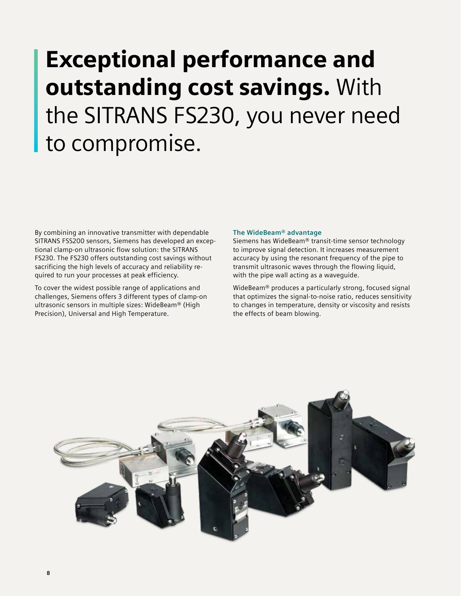## Exceptional performance and outstanding cost savings. With the SITRANS FS230, you never need to compromise.

By combining an innovative transmitter with dependable SITRANS FSS200 sensors, Siemens has developed an exceptional clamp-on ultrasonic flow solution: the SITRANS FS230. The FS230 offers outstanding cost savings without sacrificing the high levels of accuracy and reliability required to run your processes at peak efficiency.

To cover the widest possible range of applications and challenges, Siemens offers 3 different types of clamp-on ultrasonic sensors in multiple sizes: WideBeam® (High Precision), Universal and High Temperature.

### **The WideBeam® advantage**

Siemens has WideBeam® transit-time sensor technology to improve signal detection. It increases measurement accuracy by using the resonant frequency of the pipe to transmit ultrasonic waves through the flowing liquid, with the pipe wall acting as a waveguide.

WideBeam® produces a particularly strong, focused signal that optimizes the signal-to-noise ratio, reduces sensitivity to changes in temperature, density or viscosity and resists the effects of beam blowing.

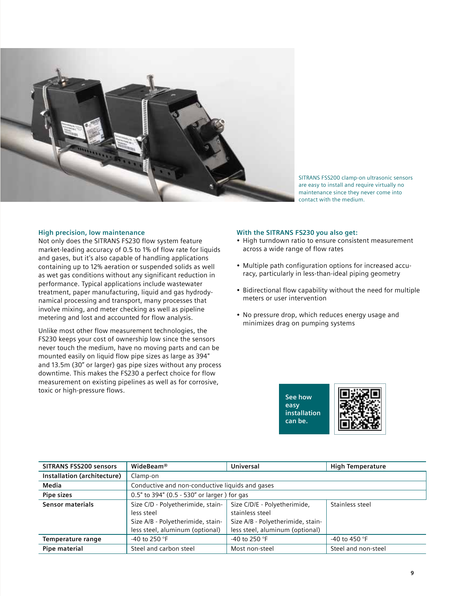

SITRANS FSS200 clamp-on ultrasonic sensors are easy to install and require virtually no maintenance since they never come into contact with the medium.

### **High precision, low maintenance**

Not only does the SITRANS FS230 flow system feature market-leading accuracy of 0.5 to 1% of flow rate for liquids and gases, but it's also capable of handling applications containing up to 12% aeration or suspended solids as well as wet gas conditions without any significant reduction in performance. Typical applications include wastewater treatment, paper manufacturing, liquid and gas hydrodynamical processing and transport, many processes that involve mixing, and meter checking as well as pipeline metering and lost and accounted for flow analysis.

Unlike most other flow measurement technologies, the FS230 keeps your cost of ownership low since the sensors never touch the medium, have no moving parts and can be mounted easily on liquid flow pipe sizes as large as 394" and 13.5m (30" or larger) gas pipe sizes without any process downtime. This makes the FS230 a perfect choice for flow measurement on existing pipelines as well as for corrosive, toxic or high-pressure flows.

### **With the SITRANS FS230 you also get:**

- High turndown ratio to ensure consistent measurement across a wide range of flow rates
- Multiple path configuration options for increased accuracy, particularly in less-than-ideal piping geometry
- Bidirectional flow capability without the need for multiple meters or user intervention
- No pressure drop, which reduces energy usage and minimizes drag on pumping systems

**See how easy installation can be.**



| <b>SITRANS FSS200 sensors</b> | WideBeam <sup>®</sup>                                                                                                   | Universal                                                                                                               | <b>High Temperature</b> |  |
|-------------------------------|-------------------------------------------------------------------------------------------------------------------------|-------------------------------------------------------------------------------------------------------------------------|-------------------------|--|
| Installation (architecture)   | Clamp-on                                                                                                                |                                                                                                                         |                         |  |
| Media                         | Conductive and non-conductive liquids and gases                                                                         |                                                                                                                         |                         |  |
| Pipe sizes                    | 0.5" to 394" (0.5 - 530" or larger) for gas                                                                             |                                                                                                                         |                         |  |
| Sensor materials              | Size C/D - Polyetherimide, stain-<br>less steel<br>Size A/B - Polyetherimide, stain-<br>less steel, aluminum (optional) | Size C/D/E - Polyetherimide,<br>stainless steel<br>Size A/B - Polyetherimide, stain-<br>less steel, aluminum (optional) | Stainless steel         |  |
| Temperature range             | -40 to 250 $\degree$ F                                                                                                  | -40 to 250 $\degree$ F                                                                                                  | -40 to 450 °F           |  |
| Pipe material                 | Steel and carbon steel                                                                                                  | Most non-steel                                                                                                          | Steel and non-steel     |  |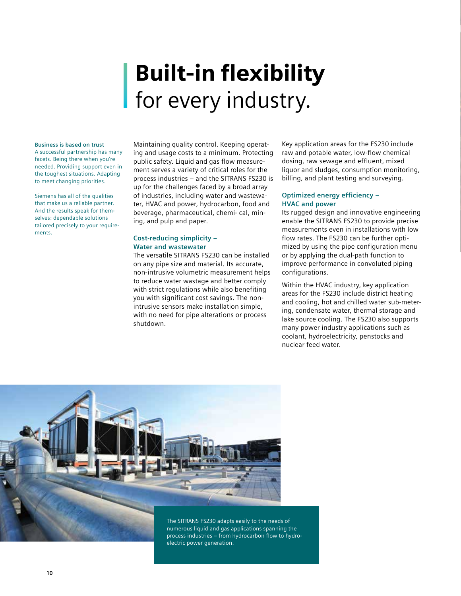## Built-in flexibility for every industry.

### **Business is based on trust**

A successful partnership has many facets. Being there when you're needed. Providing support even in the toughest situations. Adapting to meet changing priorities.

Siemens has all of the qualities that make us a reliable partner. And the results speak for themselves: dependable solutions tailored precisely to your requirements.

Maintaining quality control. Keeping operating and usage costs to a minimum. Protecting public safety. Liquid and gas flow measurement serves a variety of critical roles for the process industries – and the SITRANS FS230 is up for the challenges faced by a broad array of industries, including water and wastewater, HVAC and power, hydrocarbon, food and beverage, pharmaceutical, chemi- cal, mining, and pulp and paper.

### **Cost-reducing simplicity – Water and wastewater**

The versatile SITRANS FS230 can be installed on any pipe size and material. Its accurate, non-intrusive volumetric measurement helps to reduce water wastage and better comply with strict regulations while also benefiting you with significant cost savings. The nonintrusive sensors make installation simple, with no need for pipe alterations or process shutdown.

Key application areas for the FS230 include raw and potable water, low-flow chemical dosing, raw sewage and effluent, mixed liquor and sludges, consumption monitoring, billing, and plant testing and surveying.

### **Optimized energy efficiency – HVAC and power**

Its rugged design and innovative engineering enable the SITRANS FS230 to provide precise measurements even in installations with low flow rates. The FS230 can be further optimized by using the pipe configuration menu or by applying the dual-path function to improve performance in convoluted piping configurations.

Within the HVAC industry, key application areas for the FS230 include district heating and cooling, hot and chilled water sub-metering, condensate water, thermal storage and lake source cooling. The FS230 also supports many power industry applications such as coolant, hydroelectricity, penstocks and nuclear feed water.



**10**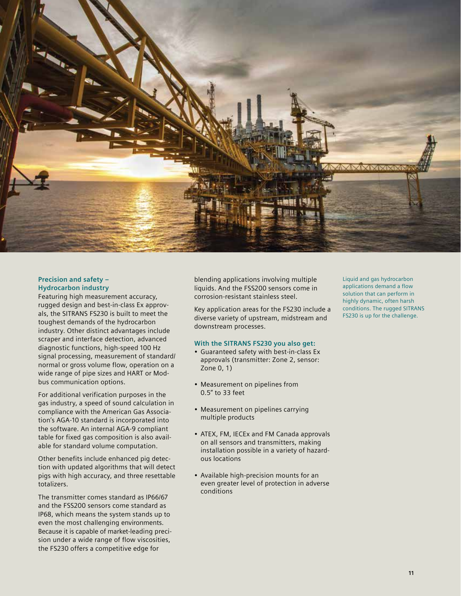

### **Precision and safety – Hydrocarbon industry**

Featuring high measurement accuracy, rugged design and best-in-class Ex approvals, the SITRANS FS230 is built to meet the toughest demands of the hydrocarbon industry. Other distinct advantages include scraper and interface detection, advanced diagnostic functions, high-speed 100 Hz signal processing, measurement of standard/ normal or gross volume flow, operation on a wide range of pipe sizes and HART or Modbus communication options.

For additional verification purposes in the gas industry, a speed of sound calculation in compliance with the American Gas Association's AGA-10 standard is incorporated into the software. An internal AGA-9 compliant table for fixed gas composition is also available for standard volume computation.

Other benefits include enhanced pig detection with updated algorithms that will detect pigs with high accuracy, and three resettable totalizers.

The transmitter comes standard as IP66/67 and the FSS200 sensors come standard as IP68, which means the system stands up to even the most challenging environments. Because it is capable of market-leading precision under a wide range of flow viscosities, the FS230 offers a competitive edge for

blending applications involving multiple liquids. And the FSS200 sensors come in corrosion-resistant stainless steel.

Key application areas for the FS230 include a diverse variety of upstream, midstream and downstream processes.

### **With the SITRANS FS230 you also get:**

- Guaranteed safety with best-in-class Ex approvals (transmitter: Zone 2, sensor: Zone 0, 1)
- Measurement on pipelines from 0.5" to 33 feet
- Measurement on pipelines carrying multiple products
- ATEX, FM, IECEx and FM Canada approvals on all sensors and transmitters, making installation possible in a variety of hazardous locations
- Available high-precision mounts for an even greater level of protection in adverse conditions

Liquid and gas hydrocarbon applications demand a flow solution that can perform in highly dynamic, often harsh conditions. The rugged SITRANS FS230 is up for the challenge.